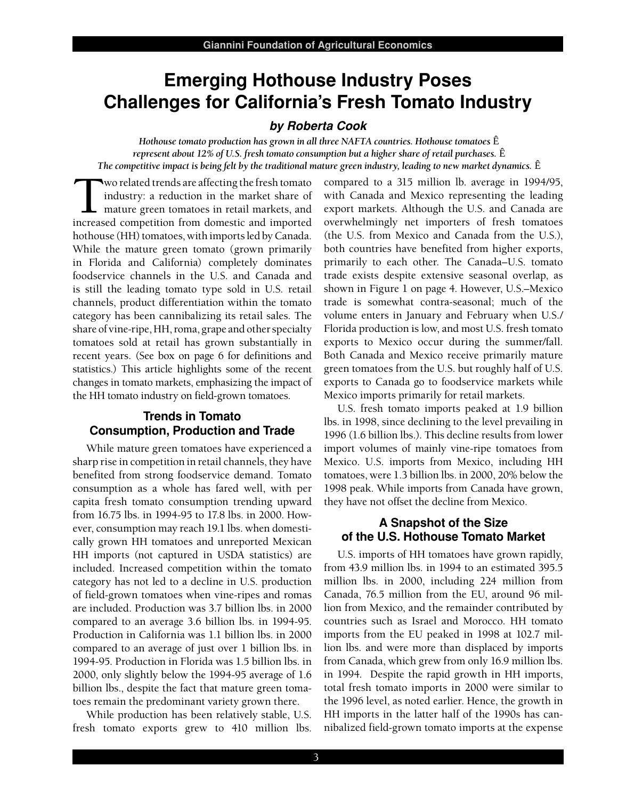# **Emerging Hothouse Industry Poses Challenges for California's Fresh Tomato Industry**

#### **by Roberta Cook**

 *Hothouse tomato production has grown in all three NAFTA countries. Hothouse tomatoes* Ê  *represent about 12% of U.S. fresh tomato consumption but a higher share of retail purchases.* Ê  *The competitive impact is being felt by the traditional mature green industry, leading to new market dynamics.* Ê

Wo related trends are affecting the fresh tomato industry: a reduction in the market share of mature green tomatoes in retail markets, and increased competition from domestic and imported industry: a reduction in the market share of mature green tomatoes in retail markets, and increased competition from domestic and imported hothouse (HH) tomatoes, with imports led by Canada. While the mature green tomato (grown primarily in Florida and California) completely dominates foodservice channels in the U.S. and Canada and is still the leading tomato type sold in U.S. retail channels, product differentiation within the tomato category has been cannibalizing its retail sales. The share of vine-ripe, HH, roma, grape and other specialty tomatoes sold at retail has grown substantially in recent years. (See box on page 6 for definitions and statistics.) This article highlights some of the recent changes in tomato markets, emphasizing the impact of the HH tomato industry on field-grown tomatoes.

## **Trends in Tomato Consumption, Production and Trade**

 While mature green tomatoes have experienced a sharp rise in competition in retail channels, they have benefited from strong foodservice demand. Tomato consumption as a whole has fared well, with per capita fresh tomato consumption trending upward from 16.75 lbs. in 1994-95 to 17.8 lbs. in 2000. How- ever, consumption may reach 19.1 lbs. when domesti- cally grown HH tomatoes and unreported Mexican HH imports (not captured in USDA statistics) are included. Increased competition within the tomato category has not led to a decline in U.S. production of field-grown tomatoes when vine-ripes and romas are included. Production was 3.7 billion lbs. in 2000 compared to an average 3.6 billion lbs. in 1994-95. Production in California was 1.1 billion lbs. in 2000 compared to an average of just over 1 billion lbs. in 1994-95. Production in Florida was 1.5 billion lbs. in 2000, only slightly below the 1994-95 average of 1.6 billion lbs., despite the fact that mature green toma-toes remain the predominant variety grown there.

 While production has been relatively stable, U.S. fresh tomato exports grew to 410 million lbs.  compared to a 315 million lb. average in 1994/95, with Canada and Mexico representing the leading export markets. Although the U.S. and Canada are overwhelmingly net importers of fresh tomatoes (the U.S. from Mexico and Canada from the U.S.), both countries have benefited from higher exports, primarily to each other. The Canada–U.S. tomato trade exists despite extensive seasonal overlap, as shown in Figure 1 on page 4. However, U.S.–Mexico trade is somewhat contra-seasonal; much of the volume enters in January and February when U.S./ Florida production is low, and most U.S. fresh tomato exports to Mexico occur during the summer/fall. Both Canada and Mexico receive primarily mature green tomatoes from the U.S. but roughly half of U.S. exports to Canada go to foodservice markets while Mexico imports primarily for retail markets.

 U.S. fresh tomato imports peaked at 1.9 billion lbs. in 1998, since declining to the level prevailing in 1996 (1.6 billion lbs.). This decline results from lower import volumes of mainly vine-ripe tomatoes from Mexico. U.S. imports from Mexico, including HH tomatoes, were 1.3 billion lbs. in 2000, 20% below the 1998 peak. While imports from Canada have grown, they have not offset the decline from Mexico.

## **A Snapshot of the Size of the U.S. Hothouse Tomato Market**

 U.S. imports of HH tomatoes have grown rapidly, from 43.9 million lbs. in 1994 to an estimated 395.5 million lbs. in 2000, including 224 million from Canada, 76.5 million from the EU, around 96 mil- lion from Mexico, and the remainder contributed by countries such as Israel and Morocco. HH tomato imports from the EU peaked in 1998 at 102.7 mil- lion lbs. and were more than displaced by imports from Canada, which grew from only 16.9 million lbs. in 1994. Despite the rapid growth in HH imports, total fresh tomato imports in 2000 were similar to the 1996 level, as noted earlier. Hence, the growth in HH imports in the latter half of the 1990s has can-nibalized field-grown tomato imports at the expense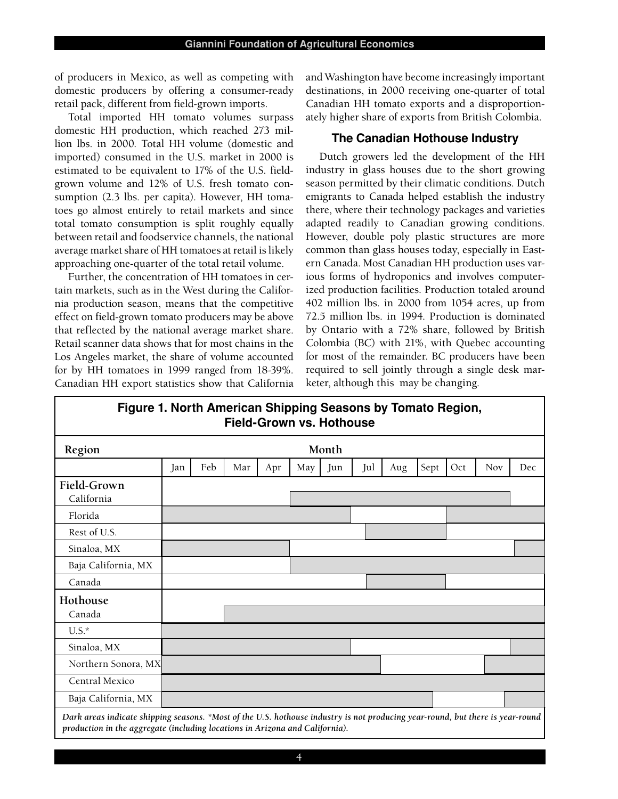of producers in Mexico, as well as competing with domestic producers by offering a consumer-ready retail pack, different from field-grown imports.

 Total imported HH tomato volumes surpass domestic HH production, which reached 273 mil- lion lbs. in 2000. Total HH volume (domestic and imported) consumed in the U.S. market in 2000 is estimated to be equivalent to 17% of the U.S. field- grown volume and 12% of U.S. fresh tomato con- sumption (2.3 lbs. per capita). However, HH toma- toes go almost entirely to retail markets and since total tomato consumption is split roughly equally between retail and foodservice channels, the national average market share of HH tomatoes at retail is likely approaching one-quarter of the total retail volume.

 Further, the concentration of HH tomatoes in cer- tain markets, such as in the West during the Califor- nia production season, means that the competitive effect on field-grown tomato producers may be above that reflected by the national average market share. Retail scanner data shows that for most chains in the Los Angeles market, the share of volume accounted for by HH tomatoes in 1999 ranged from 18-39%. Canadian HH export statistics show that California  and Washington have become increasingly important destinations, in 2000 receiving one-quarter of total Canadian HH tomato exports and a disproportion-ately higher share of exports from British Colombia.

## **The Canadian Hothouse Industry**

 Dutch growers led the development of the HH industry in glass houses due to the short growing season permitted by their climatic conditions. Dutch emigrants to Canada helped establish the industry there, where their technology packages and varieties adapted readily to Canadian growing conditions. However, double poly plastic structures are more common than glass houses today, especially in East- ern Canada. Most Canadian HH production uses var- ious forms of hydroponics and involves computer- ized production facilities. Production totaled around 402 million lbs. in 2000 from 1054 acres, up from 72.5 million lbs. in 1994. Production is dominated by Ontario with a 72% share, followed by British Colombia (BC) with 21%, with Quebec accounting for most of the remainder. BC producers have been required to sell jointly through a single desk mar-keter, although this may be changing.



| Region                                                                                                                                                                                                         | Month |     |     |     |     |     |     |     |      |     |            |     |
|----------------------------------------------------------------------------------------------------------------------------------------------------------------------------------------------------------------|-------|-----|-----|-----|-----|-----|-----|-----|------|-----|------------|-----|
|                                                                                                                                                                                                                | Jan   | Feb | Mar | Apr | May | Jun | Jul | Aug | Sept | Oct | <b>Nov</b> | Dec |
| Field-Grown<br>California                                                                                                                                                                                      |       |     |     |     |     |     |     |     |      |     |            |     |
| Florida                                                                                                                                                                                                        |       |     |     |     |     |     |     |     |      |     |            |     |
| Rest of U.S.                                                                                                                                                                                                   |       |     |     |     |     |     |     |     |      |     |            |     |
| Sinaloa, MX                                                                                                                                                                                                    |       |     |     |     |     |     |     |     |      |     |            |     |
| Baja California, MX                                                                                                                                                                                            |       |     |     |     |     |     |     |     |      |     |            |     |
| Canada                                                                                                                                                                                                         |       |     |     |     |     |     |     |     |      |     |            |     |
| Hothouse<br>Canada                                                                                                                                                                                             |       |     |     |     |     |     |     |     |      |     |            |     |
| $U.S.^*$                                                                                                                                                                                                       |       |     |     |     |     |     |     |     |      |     |            |     |
| Sinaloa, MX                                                                                                                                                                                                    |       |     |     |     |     |     |     |     |      |     |            |     |
| Northern Sonora, MX                                                                                                                                                                                            |       |     |     |     |     |     |     |     |      |     |            |     |
| Central Mexico                                                                                                                                                                                                 |       |     |     |     |     |     |     |     |      |     |            |     |
| Baja California, MX                                                                                                                                                                                            |       |     |     |     |     |     |     |     |      |     |            |     |
| Dark areas indicate shipping seasons. *Most of the U.S. hothouse industry is not producing year-round, but there is year-round<br>production in the aggregate (including locations in Arizona and California). |       |     |     |     |     |     |     |     |      |     |            |     |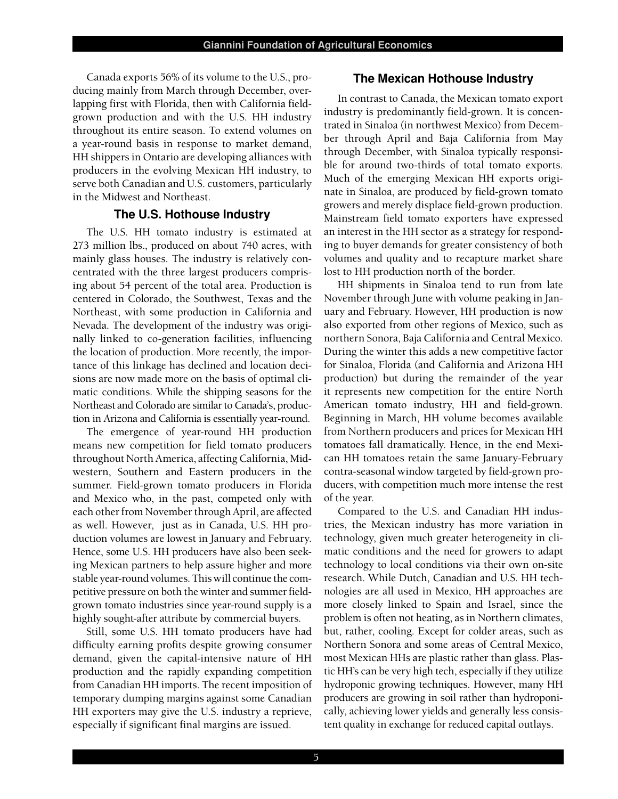Canada exports 56% of its volume to the U.S., pro- **The Mexican Hothouse Industry** Canada exports 56% of its volume to the U.S., pro-<br>ducing mainly from March through December, over- lapping first with Florida, then with California field- grown production and with the U.S. HH industry throughout its entire season. To extend volumes on a year-round basis in response to market demand, HH shippers in Ontario are developing alliances with producers in the evolving Mexican HH industry, to serve both Canadian and U.S. customers, particularly in the Midwest and Northeast.

#### **The U.S. Hothouse Industry**

 The U.S. HH tomato industry is estimated at 273 million lbs., produced on about 740 acres, with mainly glass houses. The industry is relatively con- centrated with the three largest producers compris- ing about 54 percent of the total area. Production is centered in Colorado, the Southwest, Texas and the Northeast, with some production in California and Nevada. The development of the industry was origi- nally linked to co-generation facilities, influencing the location of production. More recently, the impor- tance of this linkage has declined and location deci- sions are now made more on the basis of optimal cli- matic conditions. While the shipping seasons for the Northeast and Colorado are similar to Canada's, produc-tion in Arizona and California is essentially year-round.

 The emergence of year-round HH production means new competition for field tomato producers throughout North America, affecting California, Mid- western, Southern and Eastern producers in the summer. Field-grown tomato producers in Florida and Mexico who, in the past, competed only with each other from November through April, are affected as well. However, just as in Canada, U.S. HH pro- duction volumes are lowest in January and February. Hence, some U.S. HH producers have also been seek- ing Mexican partners to help assure higher and more stable year-round volumes. This will continue the com- petitive pressure on both the winter and summer field- grown tomato industries since year-round supply is a highly sought-after attribute by commercial buyers.

 Still, some U.S. HH tomato producers have had difficulty earning profits despite growing consumer demand, given the capital-intensive nature of HH production and the rapidly expanding competition from Canadian HH imports. The recent imposition of temporary dumping margins against some Canadian HH exporters may give the U.S. industry a reprieve, especially if significant final margins are issued.

#### **The Mexican Hothouse Industry**

 In contrast to Canada, the Mexican tomato export industry is predominantly field-grown. It is concen- trated in Sinaloa (in northwest Mexico) from Decem- ber through April and Baja California from May through December, with Sinaloa typically responsi- ble for around two-thirds of total tomato exports. Much of the emerging Mexican HH exports origi- nate in Sinaloa, are produced by field-grown tomato growers and merely displace field-grown production. Mainstream field tomato exporters have expressed an interest in the HH sector as a strategy for respond- ing to buyer demands for greater consistency of both volumes and quality and to recapture market share lost to HH production north of the border.

 HH shipments in Sinaloa tend to run from late November through June with volume peaking in Jan- uary and February. However, HH production is now also exported from other regions of Mexico, such as northern Sonora, Baja California and Central Mexico. During the winter this adds a new competitive factor for Sinaloa, Florida (and California and Arizona HH production) but during the remainder of the year it represents new competition for the entire North American tomato industry, HH and field-grown. Beginning in March, HH volume becomes available from Northern producers and prices for Mexican HH tomatoes fall dramatically. Hence, in the end Mexi- can HH tomatoes retain the same January-February contra-seasonal window targeted by field-grown pro- ducers, with competition much more intense the rest of the year.

 Compared to the U.S. and Canadian HH indus- tries, the Mexican industry has more variation in technology, given much greater heterogeneity in cli- matic conditions and the need for growers to adapt technology to local conditions via their own on-site research. While Dutch, Canadian and U.S. HH tech- nologies are all used in Mexico, HH approaches are more closely linked to Spain and Israel, since the problem is often not heating, as in Northern climates, but, rather, cooling. Except for colder areas, such as Northern Sonora and some areas of Central Mexico, most Mexican HHs are plastic rather than glass. Plas- tic HH's can be very high tech, especially if they utilize hydroponic growing techniques. However, many HH producers are growing in soil rather than hydroponi- cally, achieving lower yields and generally less consis-tent quality in exchange for reduced capital outlays.